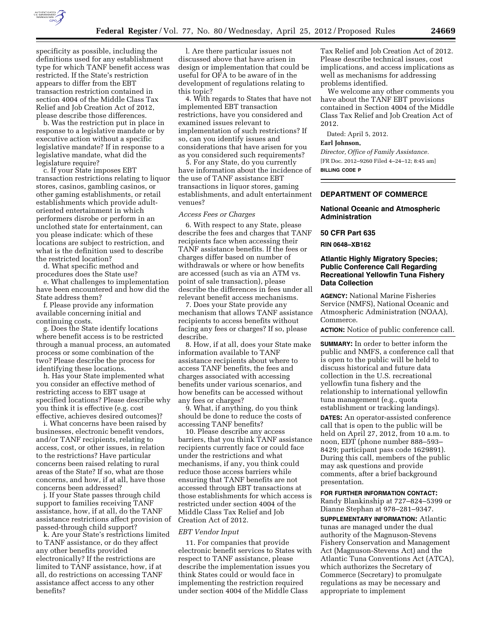

specificity as possible, including the definitions used for any establishment type for which TANF benefit access was restricted. If the State's restriction appears to differ from the EBT transaction restriction contained in section 4004 of the Middle Class Tax Relief and Job Creation Act of 2012, please describe those differences.

b. Was the restriction put in place in response to a legislative mandate or by executive action without a specific legislative mandate? If in response to a legislative mandate, what did the legislature require?

c. If your State imposes EBT transaction restrictions relating to liquor stores, casinos, gambling casinos, or other gaming establishments, or retail establishments which provide adultoriented entertainment in which performers disrobe or perform in an unclothed state for entertainment, can you please indicate: which of these locations are subject to restriction, and what is the definition used to describe the restricted location?

d. What specific method and procedures does the State use?

e. What challenges to implementation have been encountered and how did the State address them?

f. Please provide any information available concerning initial and continuing costs.

g. Does the State identify locations where benefit access is to be restricted through a manual process, an automated process or some combination of the two? Please describe the process for identifying these locations.

h. Has your State implemented what you consider an effective method of restricting access to EBT usage at specified locations? Please describe why you think it is effective (e.g. cost effective, achieves desired outcomes)?

i. What concerns have been raised by businesses, electronic benefit vendors, and/or TANF recipients, relating to access, cost, or other issues, in relation to the restrictions? Have particular concerns been raised relating to rural areas of the State? If so, what are those concerns, and how, if at all, have those concerns been addressed?

j. If your State passes through child support to families receiving TANF assistance, how, if at all, do the TANF assistance restrictions affect provision of passed-through child support?

k. Are your State's restrictions limited to TANF assistance, or do they affect any other benefits provided electronically? If the restrictions are limited to TANF assistance, how, if at all, do restrictions on accessing TANF assistance affect access to any other benefits?

l. Are there particular issues not discussed above that have arisen in design or implementation that could be useful for OFA to be aware of in the development of regulations relating to this topic?

4. With regards to States that have not implemented EBT transaction restrictions, have you considered and examined issues relevant to implementation of such restrictions? If so, can you identify issues and considerations that have arisen for you as you considered such requirements?

5. For any State, do you currently have information about the incidence of the use of TANF assistance EBT transactions in liquor stores, gaming establishments, and adult entertainment venues?

#### *Access Fees or Charges*

6. With respect to any State, please describe the fees and charges that TANF recipients face when accessing their TANF assistance benefits. If the fees or charges differ based on number of withdrawals or where or how benefits are accessed (such as via an ATM vs. point of sale transaction), please describe the differences in fees under all relevant benefit access mechanisms.

7. Does your State provide any mechanism that allows TANF assistance recipients to access benefits without facing any fees or charges? If so, please describe.

8. How, if at all, does your State make information available to TANF assistance recipients about where to access TANF benefits, the fees and charges associated with accessing benefits under various scenarios, and how benefits can be accessed without any fees or charges?

9. What, if anything, do you think should be done to reduce the costs of accessing TANF benefits?

10. Please describe any access barriers, that you think TANF assistance recipients currently face or could face under the restrictions and what mechanisms, if any, you think could reduce those access barriers while ensuring that TANF benefits are not accessed through EBT transactions at those establishments for which access is restricted under section 4004 of the Middle Class Tax Relief and Job Creation Act of 2012.

#### *EBT Vendor Input*

11. For companies that provide electronic benefit services to States with respect to TANF assistance, please describe the implementation issues you think States could or would face in implementing the restriction required under section 4004 of the Middle Class

Tax Relief and Job Creation Act of 2012. Please describe technical issues, cost implications, and access implications as well as mechanisms for addressing problems identified.

We welcome any other comments you have about the TANF EBT provisions contained in Section 4004 of the Middle Class Tax Relief and Job Creation Act of 2012.

Dated: April 5, 2012.

# **Earl Johnson,**

*Director, Office of Family Assistance.*  [FR Doc. 2012–9260 Filed 4–24–12; 8:45 am] **BILLING CODE P** 

## **DEPARTMENT OF COMMERCE**

#### **National Oceanic and Atmospheric Administration**

### **50 CFR Part 635**

### **RIN 0648–XB162**

## **Atlantic Highly Migratory Species; Public Conference Call Regarding Recreational Yellowfin Tuna Fishery Data Collection**

**AGENCY:** National Marine Fisheries Service (NMFS), National Oceanic and Atmospheric Administration (NOAA), Commerce.

**ACTION:** Notice of public conference call.

**SUMMARY:** In order to better inform the public and NMFS, a conference call that is open to the public will be held to discuss historical and future data collection in the U.S. recreational yellowfin tuna fishery and the relationship to international yellowfin tuna management (e.g., quota establishment or tracking landings).

**DATES:** An operator-assisted conference call that is open to the public will be held on April 27, 2012, from 10 a.m. to noon, EDT (phone number 888–593– 8429; participant pass code 1629891). During this call, members of the public may ask questions and provide comments, after a brief background presentation.

### **FOR FURTHER INFORMATION CONTACT:**  Randy Blankinship at 727–824–5399 or Dianne Stephan at 978–281–9347.

**SUPPLEMENTARY INFORMATION:** Atlantic tunas are managed under the dual authority of the Magnuson-Stevens Fishery Conservation and Management Act (Magnuson-Stevens Act) and the Atlantic Tuna Conventions Act (ATCA), which authorizes the Secretary of Commerce (Secretary) to promulgate regulations as may be necessary and appropriate to implement